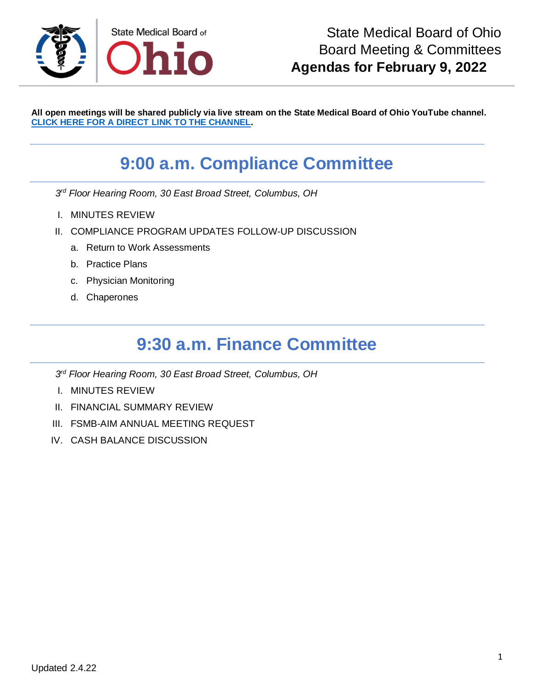

**All open meetings will be shared publicly via live stream on the State Medical Board of Ohio YouTube channel. [CLICK HERE FOR A DIRECT LINK TO THE CHANNEL.](https://www.youtube.com/channel/UCWBHBfwOyUtBZmBEZvtYPvA)**

# **9:00 a.m. Compliance Committee**

*3 rd Floor Hearing Room, 30 East Broad Street, Columbus, OH*

- I. MINUTES REVIEW
- II. COMPLIANCE PROGRAM UPDATES FOLLOW-UP DISCUSSION
	- a. Return to Work Assessments
	- b. Practice Plans
	- c. Physician Monitoring
	- d. Chaperones

# **9:30 a.m. Finance Committee**

- *3 rd Floor Hearing Room, 30 East Broad Street, Columbus, OH*
- I. MINUTES REVIEW
- II. FINANCIAL SUMMARY REVIEW
- III. FSMB-AIM ANNUAL MEETING REQUEST
- IV. CASH BALANCE DISCUSSION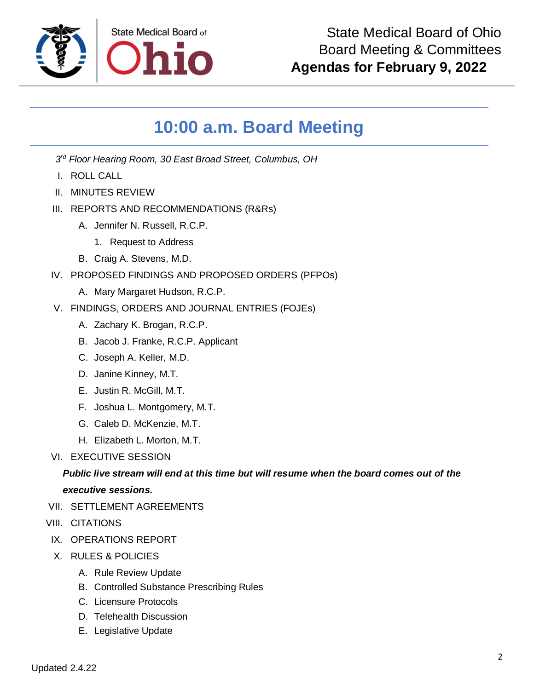

# **10:00 a.m. Board Meeting**

*3 rd Floor Hearing Room, 30 East Broad Street, Columbus, OH*

- I. ROLL CALL
- II. MINUTES REVIEW
- III. REPORTS AND RECOMMENDATIONS (R&Rs)
	- A. Jennifer N. Russell, R.C.P.
		- 1. Request to Address
	- B. Craig A. Stevens, M.D.
- IV. PROPOSED FINDINGS AND PROPOSED ORDERS (PFPOs)
	- A. Mary Margaret Hudson, R.C.P.
- V. FINDINGS, ORDERS AND JOURNAL ENTRIES (FOJEs)
	- A. Zachary K. Brogan, R.C.P.
	- B. Jacob J. Franke, R.C.P. Applicant
	- C. Joseph A. Keller, M.D.
	- D. Janine Kinney, M.T.
	- E. Justin R. McGill, M.T.
	- F. Joshua L. Montgomery, M.T.
	- G. Caleb D. McKenzie, M.T.
	- H. Elizabeth L. Morton, M.T.
- VI. EXECUTIVE SESSION

#### *Public live stream will end at this time but will resume when the board comes out of the executive sessions.*

- VII. SETTI EMENT AGREEMENTS
- VIII. CITATIONS
- IX. OPERATIONS REPORT
- X. RULES & POLICIES
	- A. Rule Review Update
	- B. Controlled Substance Prescribing Rules
	- C. Licensure Protocols
	- D. Telehealth Discussion
	- E. Legislative Update